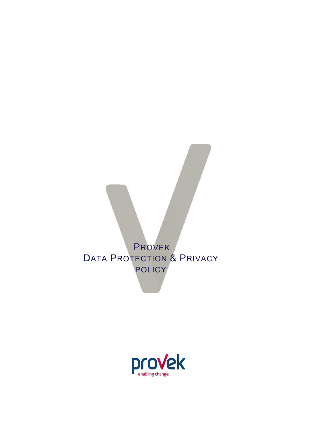

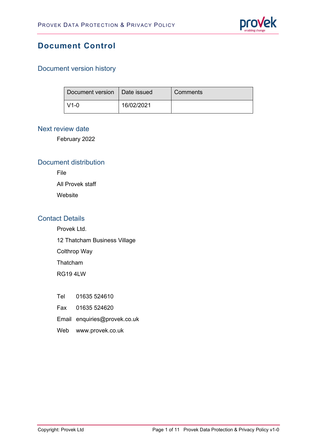

## **Document Control**

#### Document version history

| Document version   Date issued |            | Comments |
|--------------------------------|------------|----------|
| $V1-0$                         | 16/02/2021 |          |

#### Next review date

February 2022

#### Document distribution

File

All Provek staff

Website

#### Contact Details

Provek Ltd.

12 Thatcham Business Village

Colthrop Way

Thatcham

RG19 4LW

- Tel 01635 524610
- Fax 01635 524620
- Email enquiries@provek.co.uk
- Web [www.provek.co.uk](http://www.provek.co.uk/)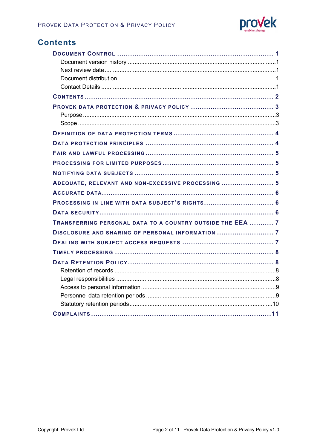

### **Contents**

| ADEQUATE, RELEVANT AND NON-EXCESSIVE PROCESSING  5         |
|------------------------------------------------------------|
|                                                            |
| PROCESSING IN LINE WITH DATA SUBJECT'S RIGHTS 6            |
|                                                            |
| TRANSFERRING PERSONAL DATA TO A COUNTRY OUTSIDE THE EEA  7 |
| DISCLOSURE AND SHARING OF PERSONAL INFORMATION  7          |
|                                                            |
|                                                            |
|                                                            |
|                                                            |
|                                                            |
|                                                            |
|                                                            |
|                                                            |
|                                                            |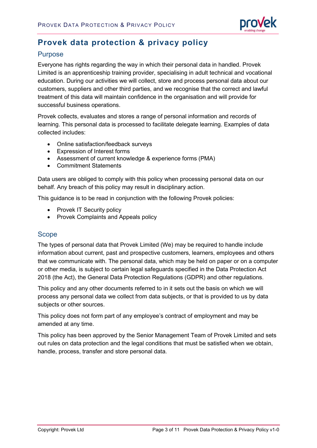

# **Provek data protection & privacy policy**

#### Purpose

Everyone has rights regarding the way in which their personal data in handled. Provek Limited is an apprenticeship training provider, specialising in adult technical and vocational education. During our activities we will collect, store and process personal data about our customers, suppliers and other third parties, and we recognise that the correct and lawful treatment of this data will maintain confidence in the organisation and will provide for successful business operations.

Provek collects, evaluates and stores a range of personal information and records of learning. This personal data is processed to facilitate delegate learning. Examples of data collected includes:

- Online satisfaction/feedback surveys
- Expression of Interest forms
- Assessment of current knowledge & experience forms (PMA)
- Commitment Statements

Data users are obliged to comply with this policy when processing personal data on our behalf. Any breach of this policy may result in disciplinary action.

This guidance is to be read in conjunction with the following Provek policies:

- Provek IT Security policy
- Provek Complaints and Appeals policy

#### Scope

The types of personal data that Provek Limited (We) may be required to handle include information about current, past and prospective customers, learners, employees and others that we communicate with. The personal data, which may be held on paper or on a computer or other media, is subject to certain legal safeguards specified in the Data Protection Act 2018 (the Act), the General Data Protection Regulations (GDPR) and other regulations.

This policy and any other documents referred to in it sets out the basis on which we will process any personal data we collect from data subjects, or that is provided to us by data subjects or other sources.

This policy does not form part of any employee's contract of employment and may be amended at any time.

This policy has been approved by the Senior Management Team of Provek Limited and sets out rules on data protection and the legal conditions that must be satisfied when we obtain, handle, process, transfer and store personal data.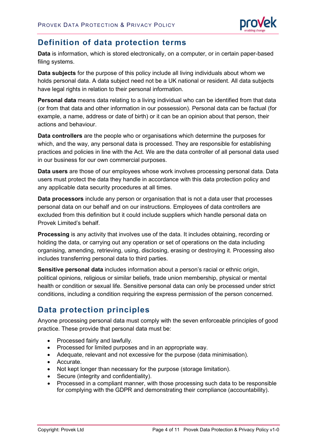

## **Definition of data protection terms**

**Data** is information, which is stored electronically, on a computer, or in certain paper-based filing systems.

**Data subjects** for the purpose of this policy include all living individuals about whom we holds personal data. A data subject need not be a UK national or resident. All data subjects have legal rights in relation to their personal information.

**Personal data** means data relating to a living individual who can be identified from that data (or from that data and other information in our possession). Personal data can be factual (for example, a name, address or date of birth) or it can be an opinion about that person, their actions and behaviour.

**Data controllers** are the people who or organisations which determine the purposes for which, and the way, any personal data is processed. They are responsible for establishing practices and policies in line with the Act. We are the data controller of all personal data used in our business for our own commercial purposes.

**Data users** are those of our employees whose work involves processing personal data. Data users must protect the data they handle in accordance with this data protection policy and any applicable data security procedures at all times.

**Data processors** include any person or organisation that is not a data user that processes personal data on our behalf and on our instructions. Employees of data controllers are excluded from this definition but it could include suppliers which handle personal data on Provek Limited's behalf.

**Processing** is any activity that involves use of the data. It includes obtaining, recording or holding the data, or carrying out any operation or set of operations on the data including organising, amending, retrieving, using, disclosing, erasing or destroying it. Processing also includes transferring personal data to third parties.

**Sensitive personal data** includes information about a person's racial or ethnic origin, political opinions, religious or similar beliefs, trade union membership, physical or mental health or condition or sexual life. Sensitive personal data can only be processed under strict conditions, including a condition requiring the express permission of the person concerned.

# **Data protection principles**

Anyone processing personal data must comply with the seven enforceable principles of good practice. These provide that personal data must be:

- Processed fairly and lawfully.
- Processed for limited purposes and in an appropriate way.
- Adequate, relevant and not excessive for the purpose (data minimisation).
- Accurate.
- Not kept longer than necessary for the purpose (storage limitation).
- Secure (integrity and confidentiality).
- Processed in a compliant manner, with those processing such data to be responsible for complying with the GDPR and demonstrating their compliance (accountability).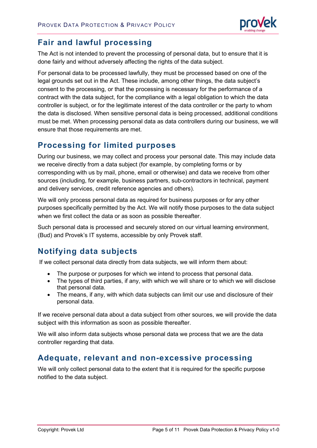

## **Fair and lawful processing**

The Act is not intended to prevent the processing of personal data, but to ensure that it is done fairly and without adversely affecting the rights of the data subject.

For personal data to be processed lawfully, they must be processed based on one of the legal grounds set out in the Act. These include, among other things, the data subject's consent to the processing, or that the processing is necessary for the performance of a contract with the data subject, for the compliance with a legal obligation to which the data controller is subject, or for the legitimate interest of the data controller or the party to whom the data is disclosed. When sensitive personal data is being processed, additional conditions must be met. When processing personal data as data controllers during our business, we will ensure that those requirements are met.

## **Processing for limited purposes**

During our business, we may collect and process your personal date. This may include data we receive directly from a data subject (for example, by completing forms or by corresponding with us by mail, phone, email or otherwise) and data we receive from other sources (including, for example, business partners, sub-contractors in technical, payment and delivery services, credit reference agencies and others).

We will only process personal data as required for business purposes or for any other purposes specifically permitted by the Act. We will notify those purposes to the data subject when we first collect the data or as soon as possible thereafter.

Such personal data is processed and securely stored on our virtual learning environment, (Bud) and Provek's IT systems, accessible by only Provek staff.

# **Notifying data subjects**

If we collect personal data directly from data subjects, we will inform them about:

- The purpose or purposes for which we intend to process that personal data.
- The types of third parties, if any, with which we will share or to which we will disclose that personal data.
- The means, if any, with which data subjects can limit our use and disclosure of their personal data.

If we receive personal data about a data subject from other sources, we will provide the data subject with this information as soon as possible thereafter.

We will also inform data subjects whose personal data we process that we are the data controller regarding that data.

#### **Adequate, relevant and non-excessive processing**

We will only collect personal data to the extent that it is required for the specific purpose notified to the data subject.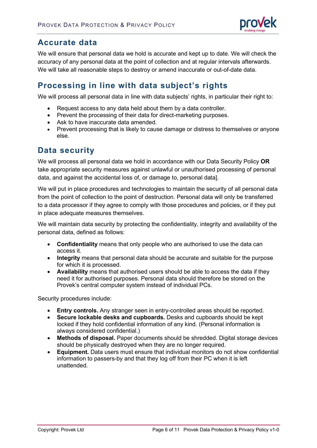

## **Accurate data**

We will ensure that personal data we hold is accurate and kept up to date. We will check the accuracy of any personal data at the point of collection and at regular intervals afterwards. We will take all reasonable steps to destroy or amend inaccurate or out-of-date data.

## **Processing in line with data subject's rights**

We will process all personal data in line with data subjects' rights, in particular their right to:

- Request access to any data held about them by a data controller.
- Prevent the processing of their data for direct-marketing purposes.
- Ask to have inaccurate data amended.
- Prevent processing that is likely to cause damage or distress to themselves or anyone else.

#### **Data security**

We will process all personal data we hold in accordance with our Data Security Policy **OR** take appropriate security measures against unlawful or unauthorised processing of personal data, and against the accidental loss of, or damage to, personal data].

We will put in place procedures and technologies to maintain the security of all personal data from the point of collection to the point of destruction. Personal data will only be transferred to a data processor if they agree to comply with those procedures and policies, or if they put in place adequate measures themselves.

We will maintain data security by protecting the confidentiality, integrity and availability of the personal data, defined as follows:

- **Confidentiality** means that only people who are authorised to use the data can access it.
- **Integrity** means that personal data should be accurate and suitable for the purpose for which it is processed.
- **Availability** means that authorised users should be able to access the data if they need it for authorised purposes. Personal data should therefore be stored on the Provek's central computer system instead of individual PCs.

Security procedures include:

- **Entry controls.** Any stranger seen in entry-controlled areas should be reported.
- **Secure lockable desks and cupboards.** Desks and cupboards should be kept locked if they hold confidential information of any kind. (Personal information is always considered confidential.)
- **Methods of disposal.** Paper documents should be shredded. Digital storage devices should be physically destroyed when they are no longer required.
- **Equipment.** Data users must ensure that individual monitors do not show confidential information to passers-by and that they log off from their PC when it is left unattended.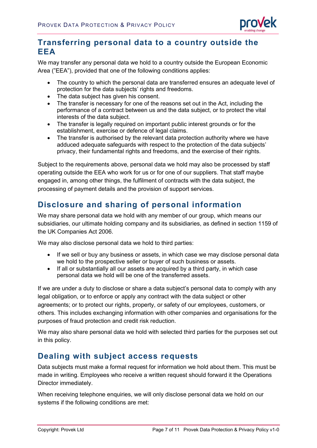

### **Transferring personal data to a country outside the EEA**

We may transfer any personal data we hold to a country outside the European Economic Area ("EEA"), provided that one of the following conditions applies:

- The country to which the personal data are transferred ensures an adequate level of protection for the data subjects' rights and freedoms.
- The data subject has given his consent.
- The transfer is necessary for one of the reasons set out in the Act, including the performance of a contract between us and the data subject, or to protect the vital interests of the data subject.
- The transfer is legally required on important public interest grounds or for the establishment, exercise or defence of legal claims.
- The transfer is authorised by the relevant data protection authority where we have adduced adequate safeguards with respect to the protection of the data subjects' privacy, their fundamental rights and freedoms, and the exercise of their rights.

Subject to the requirements above, personal data we hold may also be processed by staff operating outside the EEA who work for us or for one of our suppliers. That staff maybe engaged in, among other things, the fulfilment of contracts with the data subject, the processing of payment details and the provision of support services.

# **Disclosure and sharing of personal information**

We may share personal data we hold with any member of our group, which means our subsidiaries, our ultimate holding company and its subsidiaries, as defined in section 1159 of the UK Companies Act 2006.

We may also disclose personal data we hold to third parties:

- If we sell or buy any business or assets, in which case we may disclose personal data we hold to the prospective seller or buyer of such business or assets.
- If all or substantially all our assets are acquired by a third party, in which case personal data we hold will be one of the transferred assets.

If we are under a duty to disclose or share a data subject's personal data to comply with any legal obligation, or to enforce or apply any contract with the data subject or other agreements; or to protect our rights, property, or safety of our employees, customers, or others. This includes exchanging information with other companies and organisations for the purposes of fraud protection and credit risk reduction.

We may also share personal data we hold with selected third parties for the purposes set out in this policy.

#### **Dealing with subject access requests**

Data subjects must make a formal request for information we hold about them. This must be made in writing. Employees who receive a written request should forward it the Operations Director immediately.

When receiving telephone enquiries, we will only disclose personal data we hold on our systems if the following conditions are met: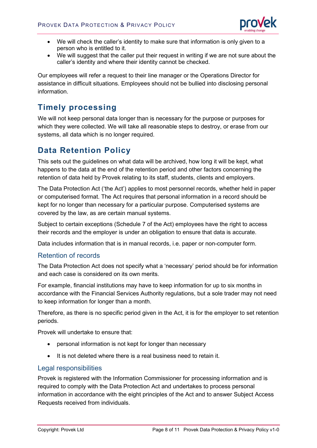

- We will check the caller's identity to make sure that information is only given to a person who is entitled to it.
- We will suggest that the caller put their request in writing if we are not sure about the caller's identity and where their identity cannot be checked.

Our employees will refer a request to their line manager or the Operations Director for assistance in difficult situations. Employees should not be bullied into disclosing personal information.

### **Timely processing**

We will not keep personal data longer than is necessary for the purpose or purposes for which they were collected. We will take all reasonable steps to destroy, or erase from our systems, all data which is no longer required.

### **Data Retention Policy**

This sets out the guidelines on what data will be archived, how long it will be kept, what happens to the data at the end of the retention period and other factors concerning the retention of data held by Provek relating to its staff, students, clients and employers.

The Data Protection Act ('the Act') applies to most personnel records, whether held in paper or computerised format. The Act requires that personal information in a record should be kept for no longer than necessary for a particular purpose. Computerised systems are covered by the law, as are certain manual systems.

Subject to certain exceptions (Schedule 7 of the Act) employees have the right to access their records and the employer is under an obligation to ensure that data is accurate.

Data includes information that is in manual records, i.e. paper or non-computer form.

#### Retention of records

The Data Protection Act does not specify what a 'necessary' period should be for information and each case is considered on its own merits.

For example, financial institutions may have to keep information for up to six months in accordance with the Financial Services Authority regulations, but a sole trader may not need to keep information for longer than a month.

Therefore, as there is no specific period given in the Act, it is for the employer to set retention periods.

Provek will undertake to ensure that:

- personal information is not kept for longer than necessary
- It is not deleted where there is a real business need to retain it.

#### Legal responsibilities

Provek is registered with the Information Commissioner for processing information and is required to comply with the Data Protection Act and undertakes to process personal information in accordance with the eight principles of the Act and to answer Subject Access Requests received from individuals.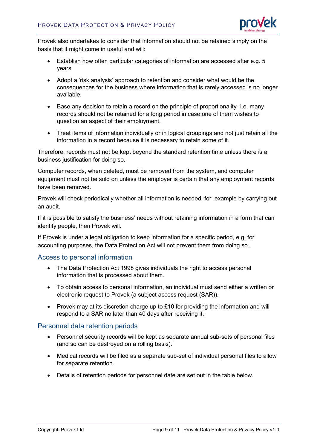

Provek also undertakes to consider that information should not be retained simply on the basis that it might come in useful and will:

- Establish how often particular categories of information are accessed after e.g. 5 years
- Adopt a 'risk analysis' approach to retention and consider what would be the consequences for the business where information that is rarely accessed is no longer available.
- Base any decision to retain a record on the principle of proportionality- i.e. many records should not be retained for a long period in case one of them wishes to question an aspect of their employment.
- Treat items of information individually or in logical groupings and not just retain all the information in a record because it is necessary to retain some of it.

Therefore, records must not be kept beyond the standard retention time unless there is a business justification for doing so.

Computer records, when deleted, must be removed from the system, and computer equipment must not be sold on unless the employer is certain that any employment records have been removed.

Provek will check periodically whether all information is needed, for example by carrying out an audit.

If it is possible to satisfy the business' needs without retaining information in a form that can identify people, then Provek will.

If Provek is under a legal obligation to keep information for a specific period, e.g. for accounting purposes, the Data Protection Act will not prevent them from doing so.

#### Access to personal information

- The Data Protection Act 1998 gives individuals the right to access personal information that is processed about them.
- To obtain access to personal information, an individual must send either a written or electronic request to Provek (a subject access request (SAR)).
- Provek may at its discretion charge up to £10 for providing the information and will respond to a SAR no later than 40 days after receiving it.

#### Personnel data retention periods

- Personnel security records will be kept as separate annual sub-sets of personal files (and so can be destroyed on a rolling basis).
- Medical records will be filed as a separate sub-set of individual personal files to allow for separate retention.
- Details of retention periods for personnel date are set out in the table below.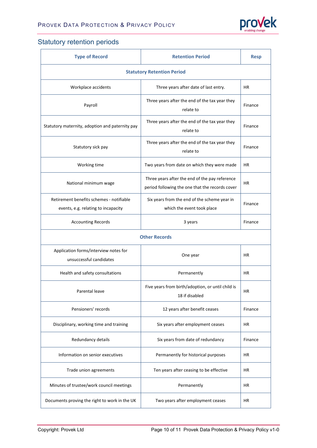

## Statutory retention periods

| <b>Type of Record</b>                                                           | <b>Retention Period</b>                                                                           | <b>Resp</b> |  |  |
|---------------------------------------------------------------------------------|---------------------------------------------------------------------------------------------------|-------------|--|--|
| <b>Statutory Retention Period</b>                                               |                                                                                                   |             |  |  |
| Workplace accidents                                                             | Three years after date of last entry.                                                             | <b>HR</b>   |  |  |
| Payroll                                                                         | Three years after the end of the tax year they<br>relate to                                       | Finance     |  |  |
| Statutory maternity, adoption and paternity pay                                 | Three years after the end of the tax year they<br>relate to                                       | Finance     |  |  |
| Statutory sick pay                                                              | Three years after the end of the tax year they<br>relate to                                       | Finance     |  |  |
| Working time                                                                    | Two years from date on which they were made                                                       | <b>HR</b>   |  |  |
| National minimum wage                                                           | Three years after the end of the pay reference<br>period following the one that the records cover | <b>HR</b>   |  |  |
| Retirement benefits schemes - notifiable<br>events, e.g. relating to incapacity | Six years from the end of the scheme year in<br>which the event took place                        | Finance     |  |  |
| <b>Accounting Records</b>                                                       | 3 years                                                                                           | Finance     |  |  |
| <b>Other Records</b>                                                            |                                                                                                   |             |  |  |
| Application forms/interview notes for<br>unsuccessful candidates                | One year                                                                                          | ΗR          |  |  |
| Health and safety consultations                                                 | Permanently                                                                                       | <b>HR</b>   |  |  |
| Parental leave                                                                  | Five years from birth/adoption, or until child is<br>18 if disabled                               | ΗR          |  |  |
| Pensioners' records                                                             | 12 years after benefit ceases                                                                     | Finance     |  |  |
| Disciplinary, working time and training                                         | Six years after employment ceases                                                                 | HR          |  |  |
| Redundancy details                                                              | Six years from date of redundancy                                                                 | Finance     |  |  |
| Information on senior executives                                                | Permanently for historical purposes                                                               | HR          |  |  |
| Trade union agreements                                                          | Ten years after ceasing to be effective                                                           | <b>HR</b>   |  |  |
| Minutes of trustee/work council meetings                                        | Permanently                                                                                       | HR          |  |  |
| Documents proving the right to work in the UK                                   | Two years after employment ceases                                                                 | HR          |  |  |